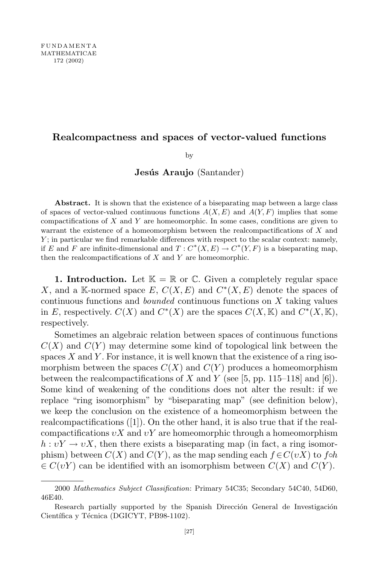## **Realcompactness and spaces of vector-valued functions**

by

# **Jesus ´ Araujo** (Santander)

Abstract. It is shown that the existence of a biseparating map between a large class of spaces of vector-valued continuous functions  $A(X, E)$  and  $A(Y, F)$  implies that some compactifications of *X* and *Y* are homeomorphic. In some cases, conditions are given to warrant the existence of a homeomorphism between the realcompactifications of *X* and *Y*; in particular we find remarkable differences with respect to the scalar context: namely, if *E* and *F* are infinite-dimensional and  $T: C^*(X, E) \to C^*(Y, F)$  is a biseparating map, then the realcompactifications of *X* and *Y* are homeomorphic.

**1. Introduction.** Let  $\mathbb{K} = \mathbb{R}$  or  $\mathbb{C}$ . Given a completely regular space *X*, and a K-normed space *E*,  $C(X, E)$  and  $C^*(X, E)$  denote the spaces of continuous functions and *bounded* continuous functions on *X* taking values in *E*, respectively.  $C(X)$  and  $C^*(X)$  are the spaces  $C(X, \mathbb{K})$  and  $C^*(X, \mathbb{K})$ , respectively.

Sometimes an algebraic relation between spaces of continuous functions  $C(X)$  and  $C(Y)$  may determine some kind of topological link between the spaces *X* and *Y* . For instance, it is well known that the existence of a ring isomorphism between the spaces  $C(X)$  and  $C(Y)$  produces a homeomorphism between the realcompactifications of  $X$  and  $Y$  (see [5, pp. 115–118] and [6]). Some kind of weakening of the conditions does not alter the result: if we replace "ring isomorphism" by "biseparating map" (see definition below), we keep the conclusion on the existence of a homeomorphism between the realcompactifications ([1]). On the other hand, it is also true that if the realcompactifications *υX* and *υY* are homeomorphic through a homeomorphism  $h: vY \to vX$ , then there exists a biseparating map (in fact, a ring isomorphism) between  $C(X)$  and  $C(Y)$ , as the map sending each  $f \in C(vX)$  to f $\circ h$  $\in C(vY)$  can be identified with an isomorphism between  $C(X)$  and  $C(Y)$ .

<sup>2000</sup> *Mathematics Subject Classification*: Primary 54C35; Secondary 54C40, 54D60, 46E40.

Research partially supported by the Spanish Dirección General de Investigación Científica y Técnica (DGICYT, PB98-1102).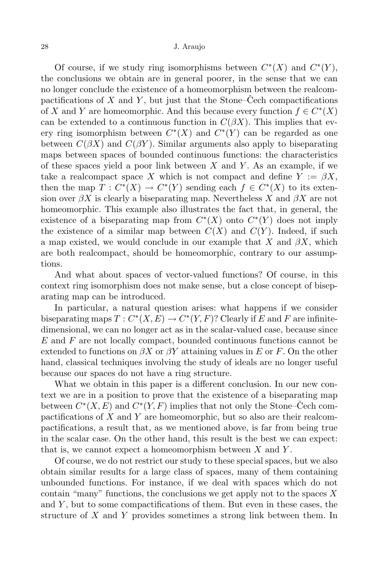Of course, if we study ring isomorphisms between  $C^*(X)$  and  $C^*(Y)$ , the conclusions we obtain are in general poorer, in the sense that we can no longer conclude the existence of a homeomorphism between the realcompactifications of  $X$  and  $Y$ , but just that the Stone–Cech compactifications of *X* and *Y* are homeomorphic. And this because every function  $f \in C^*(X)$ can be extended to a continuous function in  $C(\beta X)$ . This implies that every ring isomorphism between  $C^*(X)$  and  $C^*(Y)$  can be regarded as one between  $C(\beta X)$  and  $C(\beta Y)$ . Similar arguments also apply to biseparating maps between spaces of bounded continuous functions: the characteristics of these spaces yield a poor link between *X* and *Y* . As an example, if we take a realcompact space X which is not compact and define  $Y := \beta X$ , then the map  $T: C^*(X) \to C^*(Y)$  sending each  $f \in C^*(X)$  to its extension over  $\beta X$  is clearly a biseparating map. Nevertheless X and  $\beta X$  are not homeomorphic. This example also illustrates the fact that, in general, the existence of a biseparating map from  $C^*(X)$  onto  $C^*(Y)$  does not imply the existence of a similar map between  $C(X)$  and  $C(Y)$ . Indeed, if such a map existed, we would conclude in our example that *X* and *βX*, which are both realcompact, should be homeomorphic, contrary to our assumptions.

And what about spaces of vector-valued functions? Of course, in this context ring isomorphism does not make sense, but a close concept of biseparating map can be introduced.

In particular, a natural question arises: what happens if we consider biseparating maps  $T: C^*(X, E) \to C^*(Y, F)$ ? Clearly if *E* and *F* are infinitedimensional, we can no longer act as in the scalar-valued case, because since *E* and *F* are not locally compact, bounded continuous functions cannot be extended to functions on  $\beta X$  or  $\beta Y$  attaining values in *E* or *F*. On the other hand, classical techniques involving the study of ideals are no longer useful because our spaces do not have a ring structure.

What we obtain in this paper is a different conclusion. In our new context we are in a position to prove that the existence of a biseparating map between  $C^*(X, E)$  and  $C^*(Y, F)$  implies that not only the Stone–Čech compactifications of *X* and *Y* are homeomorphic, but so also are their realcompactifications, a result that, as we mentioned above, is far from being true in the scalar case. On the other hand, this result is the best we can expect: that is, we cannot expect a homeomorphism between *X* and *Y* .

Of course, we do not restrict our study to these special spaces, but we also obtain similar results for a large class of spaces, many of them containing unbounded functions. For instance, if we deal with spaces which do not contain "many" functions, the conclusions we get apply not to the spaces *X* and *Y* , but to some compactifications of them. But even in these cases, the structure of *X* and *Y* provides sometimes a strong link between them. In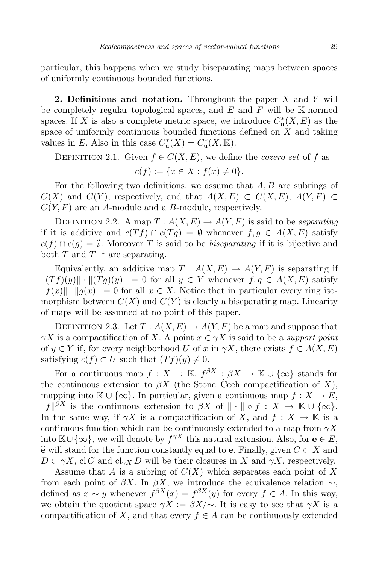particular, this happens when we study biseparating maps between spaces of uniformly continuous bounded functions.

**2. Definitions and notation.** Throughout the paper *X* and *Y* will be completely regular topological spaces, and *E* and *F* will be K-normed spaces. If *X* is also a complete metric space, we introduce  $C^*_{\text{u}}(X, E)$  as the space of uniformly continuous bounded functions defined on *X* and taking values in *E*. Also in this case  $C^*_{\mathrm{u}}(X) = C^*_{\mathrm{u}}(X, \mathbb{K})$ .

DEFINITION 2.1. Given  $f \in C(X, E)$ , we define the *cozero* set of f as

$$
c(f) := \{ x \in X : f(x) \neq 0 \}.
$$

For the following two definitions, we assume that *A, B* are subrings of  $C(X)$  and  $C(Y)$ , respectively, and that  $A(X, E) \subset C(X, E)$ ,  $A(Y, F) \subset C(X, E)$ *C*(*Y, F*) are an *A*-module and a *B*-module, respectively.

DEFINITION 2.2. A map  $T: A(X, E) \to A(Y, F)$  is said to be *separating* if it is additive and  $c(Tf) \cap c(Tg) = \emptyset$  whenever  $f, g \in A(X, E)$  satisfy  $c(f) \cap c(g) = \emptyset$ . Moreover *T* is said to be *biseparating* if it is bijective and both  $T$  and  $T^{-1}$  are separating.

Equivalently, an additive map  $T : A(X, E) \to A(Y, F)$  is separating if  $\|(Tf)(y)\| \cdot \|(Tg)(y)\| = 0$  for all  $y \in Y$  whenever  $f, g \in A(X, E)$  satisfy  $||f(x)|| \cdot ||g(x)|| = 0$  for all  $x \in X$ . Notice that in particular every ring isomorphism between  $C(X)$  and  $C(Y)$  is clearly a biseparating map. Linearity of maps will be assumed at no point of this paper.

DEFINITION 2.3. Let  $T: A(X, E) \to A(Y, F)$  be a map and suppose that *γX* is a compactification of *X*. A point  $x \in \gamma X$  is said to be a *support point* of  $y \in Y$  if, for every neighborhood *U* of *x* in  $\gamma X$ , there exists  $f \in A(X, E)$ satisfying  $c(f) \subset U$  such that  $(Tf)(y) \neq 0$ .

For a continuous map  $f: X \to \mathbb{K}$ ,  $f^{\beta X}: \beta X \to \mathbb{K} \cup \{\infty\}$  stands for the continuous extension to  $\beta X$  (the Stone–Cech compactification of *X*), mapping into  $\mathbb{K} \cup \{\infty\}$ . In particular, given a continuous map  $f : X \to E$ ,  $||f||^{\beta X}$  is the continuous extension to *βX* of  $|| \cdot || \circ f : X \to \mathbb{K} \cup \{\infty\}.$ In the same way, if  $\gamma X$  is a compactification of *X*, and  $f: X \to \mathbb{K}$  is a continuous function which can be continuously extended to a map from  $\gamma X$ into  $\mathbb{K} \cup \{\infty\}$ , we will denote by  $f^{\gamma X}$  this natural extension. Also, for  $\mathbf{e} \in E$ ,  $\hat{\mathbf{e}}$  will stand for the function constantly equal to **e**. Finally, given  $C \subset X$  and  $D \subset \gamma X$ , cl *C* and cl<sub>γ</sub>*X D* will be their closures in *X* and  $\gamma X$ , respectively.

Assume that *A* is a subring of *C*(*X*) which separates each point of *X* from each point of *βX*. In *βX*, we introduce the equivalence relation  $\sim$ , defined as  $x \sim y$  whenever  $f^{\beta X}(x) = f^{\beta X}(y)$  for every  $f \in A$ . In this way, we obtain the quotient space  $\gamma X := \beta X / \sim$ . It is easy to see that  $\gamma X$  is a compactification of *X*, and that every  $f \in A$  can be continuously extended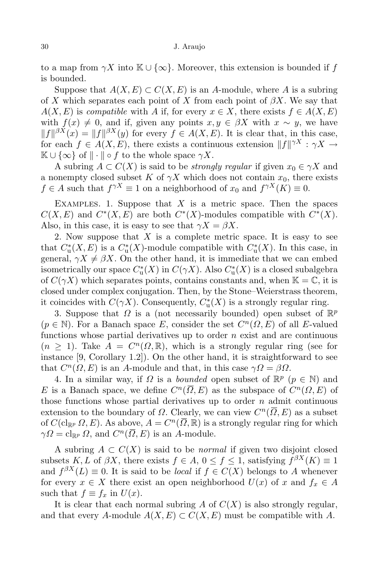### 30 J. Araujo

to a map from  $\gamma X$  into  $\mathbb{K} \cup {\infty}$ . Moreover, this extension is bounded if *f* is bounded.

Suppose that  $A(X, E) \subset C(X, E)$  is an *A*-module, where *A* is a subring of *X* which separates each point of *X* from each point of *βX*. We say that  $A(X, E)$  is *compatible* with *A* if, for every  $x \in X$ , there exists  $f \in A(X, E)$ with  $f(x) \neq 0$ , and if, given any points  $x, y \in \beta X$  with  $x \sim y$ , we have  $||f||^{3X}(x) = ||f||^{3X}(y)$  for every  $f \in A(X, E)$ . It is clear that, in this case, for each  $f \in A(X, E)$ , there exists a continuous extension  $||f||^{\gamma X}: \gamma X \to$  $\mathbb{K} \cup \{\infty\}$  of  $\|\cdot\| \circ f$  to the whole space  $\gamma X$ .

A subring  $A \subset C(X)$  is said to be *strongly regular* if given  $x_0 \in \gamma X$  and a nonempty closed subset *K* of  $\gamma X$  which does not contain  $x_0$ , there exists *f*  $\in$  *A* such that  $f^{\gamma X} \equiv 1$  on a neighborhood of  $x_0$  and  $f^{\gamma X}(K) \equiv 0$ .

EXAMPLES. 1. Suppose that  $X$  is a metric space. Then the spaces  $C(X, E)$  and  $C^*(X, E)$  are both  $C^*(X)$ -modules compatible with  $C^*(X)$ . Also, in this case, it is easy to see that  $\gamma X = \beta X$ .

2. Now suppose that *X* is a complete metric space. It is easy to see that  $C^*_{\mathbf{u}}(X, E)$  is a  $C^*_{\mathbf{u}}(X)$ -module compatible with  $C^*_{\mathbf{u}}(X)$ . In this case, in general,  $\gamma X \neq \beta X$ . On the other hand, it is immediate that we can embed isometrically our space  $C^*_{\mathrm{u}}(X)$  in  $C(\gamma X)$ . Also  $C^*_{\mathrm{u}}(X)$  is a closed subalgebra of  $C(\gamma X)$  which separates points, contains constants and, when  $\mathbb{K} = \mathbb{C}$ , it is closed under complex conjugation. Then, by the Stone–Weierstrass theorem, it coincides with  $C(\gamma X)$ . Consequently,  $C^*_{\mathfrak{u}}(X)$  is a strongly regular ring.

3. Suppose that  $\Omega$  is a (not necessarily bounded) open subset of  $\mathbb{R}^p$  $(p \in \mathbb{N})$ . For a Banach space *E*, consider the set  $C^n(\Omega, E)$  of all *E*-valued functions whose partial derivatives up to order *n* exist and are continuous  $(n \geq 1)$ . Take  $A = C^n(\Omega, \mathbb{R})$ , which is a strongly regular ring (see for instance [9, Corollary 1.2]). On the other hand, it is straightforward to see that  $C^n(\Omega, E)$  is an *A*-module and that, in this case  $\gamma \Omega = \beta \Omega$ .

4. In a similar way, if  $\Omega$  is a *bounded* open subset of  $\mathbb{R}^p$  ( $p \in \mathbb{N}$ ) and *E* is a Banach space, we define  $C^n(\overline{\Omega}, E)$  as the subspace of  $C^n(\Omega, E)$  of those functions whose partial derivatives up to order *n* admit continuous extension to the boundary of  $\Omega$ . Clearly, we can view  $C^n(\overline{\Omega}, E)$  as a subset of  $C(\operatorname{cl}_{\mathbb{R}^p} \Omega, E)$ . As above,  $A = C^n(\overline{\Omega}, \mathbb{R})$  is a strongly regular ring for which  $\gamma \Omega = \mathrm{cl}_{\mathbb{R}^p} \Omega$ , and  $C^n(\overline{\Omega}, E)$  is an *A*-module.

A subring  $A ⊂ C(X)$  is said to be *normal* if given two disjoint closed subsets *K, L* of *βX*, there exists  $f \in A$ ,  $0 \le f \le 1$ , satisfying  $f^{\beta X}(K) \equiv 1$ and  $f^{\beta X}(L) \equiv 0$ . It is said to be *local* if  $f \in C(X)$  belongs to *A* whenever for every  $x \in X$  there exist an open neighborhood  $U(x)$  of  $x$  and  $f_x \in A$ such that  $f \equiv f_x$  in  $U(x)$ .

It is clear that each normal subring  $A$  of  $C(X)$  is also strongly regular, and that every *A*-module  $A(X, E) \subset C(X, E)$  must be compatible with A.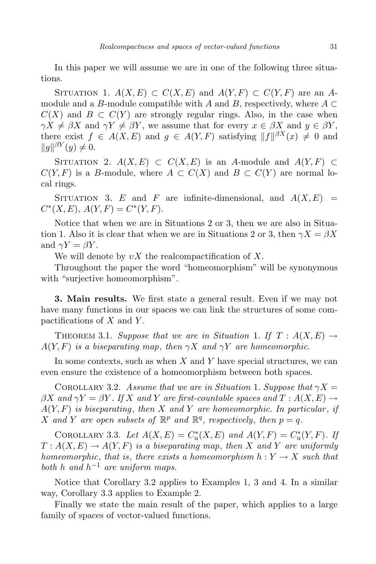In this paper we will assume we are in one of the following three situations.

SITUATION 1.  $A(X, E) \subset C(X, E)$  and  $A(Y, F) \subset C(Y, F)$  are an Amodule and a *B*-module compatible with *A* and *B*, respectively, where  $A \subset$  $C(X)$  and  $B \subset C(Y)$  are strongly regular rings. Also, in the case when  $\gamma X \neq \beta X$  and  $\gamma Y \neq \beta Y$ , we assume that for every  $x \in \beta X$  and  $y \in \beta Y$ , there exist  $f \in A(X, E)$  and  $g \in A(Y, F)$  satisfying  $||f||^{\beta X}(x) \neq 0$  and  $||g||^{\beta Y}(y) \neq 0.$ 

SITUATION 2.  $A(X, E) \subset C(X, E)$  is an *A*-module and  $A(Y, F) \subset C(X, E)$  $C(Y, F)$  is a *B*-module, where  $A \subset C(X)$  and  $B \subset C(Y)$  are normal local rings.

SITUATION 3. *E* and *F* are infinite-dimensional, and  $A(X, E)$  =  $C^*(X, E), A(Y, F) = C^*(Y, F).$ 

Notice that when we are in Situations 2 or 3, then we are also in Situation 1. Also it is clear that when we are in Situations 2 or 3, then  $\gamma X = \beta X$ and  $\gamma Y = \beta Y$ .

We will denote by  $vX$  the realcompactification of X.

Throughout the paper the word "homeomorphism" will be synonymous with "surjective homeomorphism".

**3. Main results.** We first state a general result. Even if we may not have many functions in our spaces we can link the structures of some compactifications of *X* and *Y* .

THEOREM 3.1. *Suppose that we are in Situation* 1. If  $T : A(X, E) \rightarrow$  $A(Y, F)$  *is a biseparating map, then*  $\gamma X$  *and*  $\gamma Y$  *are homeomorphic.* 

In some contexts, such as when *X* and *Y* have special structures, we can even ensure the existence of a homeomorphism between both spaces.

COROLLARY 3.2. *Assume that we are in Situation* 1. *Suppose that*  $\gamma X =$  $\beta X$  *and*  $\gamma Y = \beta Y$ . If X and Y are first-countable spaces and  $T : A(X, E) \rightarrow$ *A*(*Y, F*) *is biseparating*, *then X and Y are homeomorphic. In particular* , *if X* and *Y* are open subsets of  $\mathbb{R}^p$  and  $\mathbb{R}^q$ , respectively, then  $p = q$ .

COROLLARY 3.3. *Let*  $A(X, E) = C_u^*(X, E)$  and  $A(Y, F) = C_u^*(Y, F)$ . If  $T: A(X, E) \to A(Y, F)$  *is a biseparating map, then X and Y are uniformly homeomorphic*, *that is*, *there exists a homeomorphism*  $h: Y \to X$  *such that both h and h <sup>−</sup>*<sup>1</sup> *are uniform maps.*

Notice that Corollary 3.2 applies to Examples 1, 3 and 4. In a similar way, Corollary 3.3 applies to Example 2.

Finally we state the main result of the paper, which applies to a large family of spaces of vector-valued functions.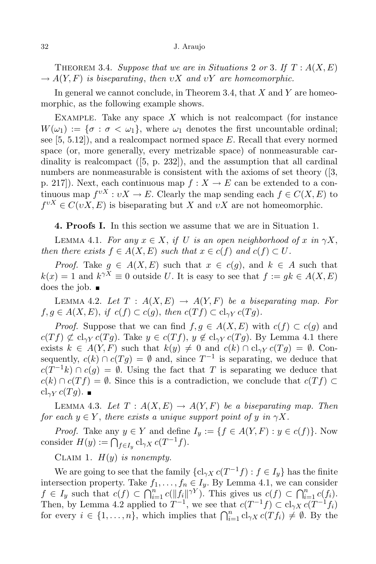THEOREM 3.4. *Suppose that we are in Situations* 2 *or* 3. If  $T : A(X, E)$  $\rightarrow$  *A*(*Y, F*) *is biseparating, then vX and vY are homeomorphic.* 

In general we cannot conclude, in Theorem 3.4, that *X* and *Y* are homeomorphic, as the following example shows.

Example. Take any space *X* which is not realcompact (for instance  $W(\omega_1) := {\sigma : \sigma < \omega_1}$ , where  $\omega_1$  denotes the first uncountable ordinal; see [5, 5.12]), and a realcompact normed space *E*. Recall that every normed space (or, more generally, every metrizable space) of nonmeasurable cardinality is realcompact ([5, p. 232]), and the assumption that all cardinal numbers are nonmeasurable is consistent with the axioms of set theory ([3, p. 217). Next, each continuous map  $f: X \to E$  can be extended to a continuous map  $f^{vX}: vX \to E$ . Clearly the map sending each  $f \in C(X, E)$  to  $f^{vX} \in C(vX, E)$  is biseparating but *X* and  $vX$  are not homeomorphic.

**4. Proofs I.** In this section we assume that we are in Situation 1.

LEMMA 4.1. *For any*  $x \in X$ , *if U is an open neighborhood of x in*  $\gamma X$ , *then there exists*  $f \in A(X, E)$  *such that*  $x \in c(f)$  *and*  $c(f) \subset U$ *.* 

*Proof.* Take  $g \in A(X, E)$  such that  $x \in c(g)$ , and  $k \in A$  such that  $k(x) = 1$  and  $k^{\gamma X} \equiv 0$  outside *U*. It is easy to see that  $f := gk \in A(X, E)$ does the job.  $\blacksquare$ 

LEMMA 4.2. Let  $T : A(X, E) \rightarrow A(Y, F)$  be a biseparating map. For  $f, g \in A(X, E), \text{ if } c(f) \subset c(g), \text{ then } c(Tf) \subset cl_{\gamma Y} c(Tg).$ 

*Proof.* Suppose that we can find  $f, g \in A(X, E)$  with  $c(f) \subset c(g)$  and  $c(Tf) \not\subset cl_{\gamma Y} c(Tg)$ . Take  $y \in c(Tf)$ ,  $y \notin cl_{\gamma Y} c(Tg)$ . By Lemma 4.1 there exists  $k \in A(Y, F)$  such that  $k(y) \neq 0$  and  $c(k) \cap cl_{\gamma Y} c(Tg) = \emptyset$ . Consequently,  $c(k) \cap c(Tg) = \emptyset$  and, since  $T^{-1}$  is separating, we deduce that *c*(*T*<sup>-1</sup>*k*) ∩ *c*(*g*) = *Ø*. Using the fact that *T* is separating we deduce that  $c(k) \cap c(Tf) = \emptyset$ . Since this is a contradiction, we conclude that  $c(Tf) \subset$  $cl_{\gamma Y} c(Tg)$ . ■

LEMMA 4.3. Let  $T: A(X, E) \to A(Y, F)$  be a biseparating map. Then *for each*  $y \in Y$ , *there exists a unique support point of y in*  $\gamma X$ *.* 

*Proof.* Take any  $y \in Y$  and define  $I_y := \{ f \in A(Y, F) : y \in c(f) \}$ . Now consider  $H(y) := \bigcap_{f \in I_y} cl_{\gamma X} c(T^{-1}f).$ 

CLAIM 1.  $H(y)$  *is nonempty.* 

We are going to see that the family  ${c_l}_{\gamma X}$   $c(T^{-1}f)$  :  $f \in I_y$  has the finite intersection property. Take  $f_1, \ldots, f_n \in I_y$ . By Lemma 4.1, we can consider  $f \in I_y$  such that  $c(f) \subset \bigcap_{i=1}^n c(\|f_i\|^{\gamma Y})$ . This gives us  $c(f) \subset \bigcap_{i=1}^n c(f_i)$ . Then, by Lemma 4.2 applied to  $T^{-1}$ , we see that  $c(T^{-1}f) \subset cl_{\gamma X} c(T^{-1}f_i)$ for every  $i \in \{1, \ldots, n\}$ , which implies that  $\bigcap_{i=1}^{n} cl_{\gamma X} c(Tf_i) \neq \emptyset$ . By the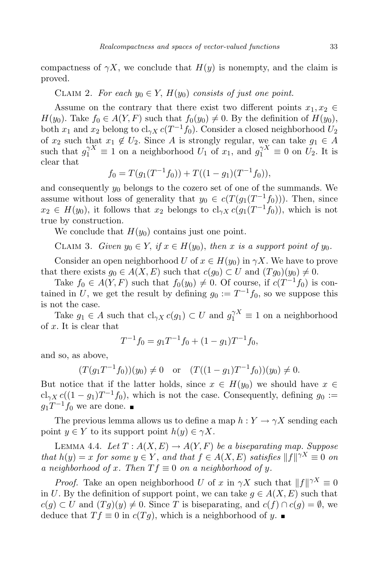compactness of  $\gamma X$ , we conclude that  $H(y)$  is nonempty, and the claim is proved.

CLAIM 2. For each  $y_0 \in Y$ ,  $H(y_0)$  consists of just one point.

Assume on the contrary that there exist two different points  $x_1, x_2 \in$ *H*(*y*<sub>0</sub>). Take *f*<sup>0</sup> ∈ *A*(*Y*, *F*) such that  $f_0(y_0) ≠ 0$ . By the definition of *H*(*y*<sub>0</sub>), both  $x_1$  and  $x_2$  belong to  $cl_{\gamma X} c(T^{-1} f_0)$ . Consider a closed neighborhood  $U_2$ of  $x_2$  such that  $x_1 \notin U_2$ . Since *A* is strongly regular, we can take  $g_1 \in A$ such that  $g_1^{\gamma X} \equiv 1$  on a neighborhood  $U_1$  of  $x_1$ , and  $g_1^{\gamma X} \equiv 0$  on  $U_2$ . It is clear that

$$
f_0 = T(g_1(T^{-1}f_0)) + T((1 - g_1)(T^{-1}f_0)),
$$

and consequently  $y_0$  belongs to the cozero set of one of the summands. We assume without loss of generality that  $y_0 \in c(T(g_1(T^{-1}f_0)))$ . Then, since  $x_2 \in H(y_0)$ , it follows that  $x_2$  belongs to  $cl_{\gamma X} c(g_1(T^{-1}f_0))$ , which is not true by construction.

We conclude that  $H(y_0)$  contains just one point.

CLAIM 3. *Given*  $y_0 \in Y$ , if  $x \in H(y_0)$ , then x is a support point of  $y_0$ .

Consider an open neighborhood *U* of  $x \in H(y_0)$  in  $\gamma X$ . We have to prove that there exists  $g_0 \in A(X, E)$  such that  $c(g_0) \subset U$  and  $(Tg_0)(y_0) \neq 0$ .

Take  $f_0 \in A(Y, F)$  such that  $f_0(y_0) \neq 0$ . Of course, if  $c(T^{-1}f_0)$  is contained in *U*, we get the result by defining  $g_0 := T^{-1}f_0$ , so we suppose this is not the case.

Take  $g_1 \in A$  such that  $cl_{\gamma X} c(g_1) \subset U$  and  $g_1^{\gamma X} \equiv 1$  on a neighborhood of *x*. It is clear that

$$
T^{-1}f_0 = g_1T^{-1}f_0 + (1 - g_1)T^{-1}f_0,
$$

and so, as above,

$$
(T(g_1T^{-1}f_0))(y_0) \neq 0
$$
 or  $(T((1-g_1)T^{-1}f_0))(y_0) \neq 0.$ 

But notice that if the latter holds, since  $x \in H(y_0)$  we should have  $x \in$  $cl_{\gamma X} c((1 - g_1)T^{-1}f_0)$ , which is not the case. Consequently, defining  $g_0 :=$  $g_1T^{-1}f_0$  we are done.

The previous lemma allows us to define a map  $h: Y \to \gamma X$  sending each point  $y \in Y$  to its support point  $h(y) \in \gamma X$ .

LEMMA 4.4. *Let*  $T: A(X, E) \to A(Y, F)$  *be a biseparating map. Suppose* that  $h(y) = x$  for some  $y \in Y$ , and that  $f \in A(X, E)$  satisfies  $||f||^{\gamma X} \equiv 0$  on *a neighborhood of x. Then*  $Tf \equiv 0$  *on a neighborhood of y.* 

*Proof.* Take an open neighborhood *U* of *x* in *γX* such that  $||f||^{\gamma X} \equiv 0$ in *U*. By the definition of support point, we can take  $g \in A(X, E)$  such that *c*(*g*) ⊂ *U* and  $(Tg)(y) \neq 0$ . Since *T* is biseparating, and *c*(*f*) ∩ *c*(*g*) =  $\emptyset$ , we deduce that  $Tf ≡ 0$  in  $c(Tg)$ , which is a neighborhood of *y*. ■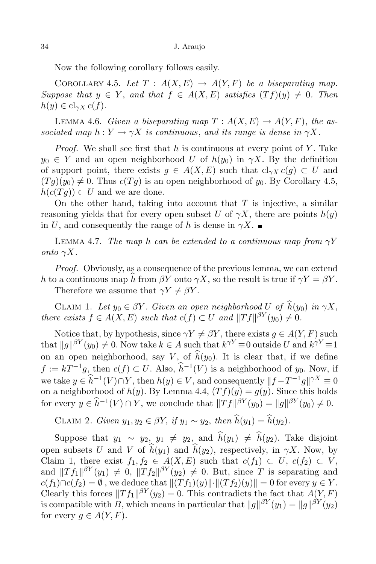Now the following corollary follows easily.

COROLLARY 4.5. Let  $T : A(X, E) \rightarrow A(Y, F)$  be a biseparating map. *Suppose that*  $y \in Y$ , *and that*  $f \in A(X, E)$  *satisfies*  $(Tf)(y) \neq 0$ *. Then*  $h(y) \in cl_{\gamma X} c(f)$ .

LEMMA 4.6. *Given* a *biseparating* map  $T: A(X, E) \rightarrow A(Y, F)$ , the as*sociated map*  $h: Y \to \gamma X$  *is continuous, and its range is dense in*  $\gamma X$ *.* 

*Proof.* We shall see first that *h* is continuous at every point of *Y* . Take  $y_0 \in Y$  and an open neighborhood *U* of  $h(y_0)$  in *γX*. By the definition of support point, there exists  $q \in A(X, E)$  such that  $cl_{\gamma X} c(q) \subset U$  and  $(Tq)(y_0) \neq 0$ . Thus  $c(Tq)$  is an open neighborhood of  $y_0$ . By Corollary 4.5,  $h(c(Tg)) \subset U$  and we are done.

On the other hand, taking into account that *T* is injective, a similar reasoning yields that for every open subset *U* of  $\gamma X$ , there are points  $h(y)$ in *U*, and consequently the range of *h* is dense in  $\gamma X$ .

LEMMA 4.7. *The map h can be extended to a continuous map from*  $\gamma Y$ *onto*  $\gamma X$ *.* 

*Proof.* Obviously, as a consequence of the previous lemma, we can extend *h* to a continuous map *h* from *βY* onto *γX*, so the result is true if  $\gamma Y = \beta Y$ .

Therefore we assume that  $\gamma Y \neq \beta Y$ .

CLAIM 1. Let  $y_0 \in \beta Y$ . Given an open neighborhood U of  $h(y_0)$  in  $\gamma X$ , *there exists*  $f \in A(X, E)$  *such that*  $c(f) \subset U$  *and*  $||Tf||^{\beta Y}(y_0) \neq 0$ *.* 

Notice that, by hypothesis, since  $\gamma Y \neq \beta Y$ , there exists  $g \in A(Y, F)$  such that  $||g||^{\beta Y}(y_0) \neq 0$ . Now take  $k \in A$  such that  $k^{\gamma Y} \equiv 0$  outside *U* and  $k^{\gamma Y} \equiv 1$ on an open neighborhood, say *V*, of  $\widehat{h}(y_0)$ . It is clear that, if we define  $f := kT^{-1}g$ , then  $c(f) \subset U$ . Also,  $\hat{h}^{-1}(V)$  is a neighborhood of *y*<sub>0</sub>. Now, if we take  $y \in \hat{h}^{-1}(V) \cap Y$ , then  $h(y) \in V$ , and consequently  $||f - T^{-1}g||^{\gamma X} \equiv 0$ on a neighborhood of  $h(y)$ . By Lemma 4.4,  $(Tf)(y) = g(y)$ . Since this holds for every  $y \in \widehat{h}^{-1}(V) \cap Y$ , we conclude that  $||Tf||^{\beta Y}(y_0) = ||g||^{\beta Y}(y_0) \neq 0$ .

*CLAIM 2. Given*  $y_1, y_2 \in \beta Y$ , if  $y_1 \sim y_2$ , then  $\hat{h}(y_1) = \hat{h}(y_2)$ .

Suppose that  $y_1 \sim y_2$ ,  $y_1 \neq y_2$ , and  $\hat{h}(y_1) \neq \hat{h}(y_2)$ . Take disjoint open subsets *U* and *V* of  $\widehat{h}(y_1)$  and  $\widehat{h}(y_2)$ , respectively, in *γX*. Now, by Claim 1, there exist  $f_1, f_2 \in A(X, E)$  such that  $c(f_1) \subset U$ ,  $c(f_2) \subset V$ , and  $||Tf_1||^{\beta Y}(y_1) \neq 0$ ,  $||Tf_2||^{\beta Y}(y_2) \neq 0$ . But, since *T* is separating and  $c(f_1) \cap c(f_2) = \emptyset$ , we deduce that  $|| (Tf_1)(y) || \cdot || (Tf_2)(y) || = 0$  for every  $y \in Y$ . Clearly this forces  $||Tf_1||^{\beta Y}(y_2) = 0$ . This contradicts the fact that  $A(Y, F)$ is compatible with *B*, which means in particular that  $||g||^{\beta Y}(y_1) = ||g||^{\beta Y}(y_2)$ for every  $q \in A(Y, F)$ .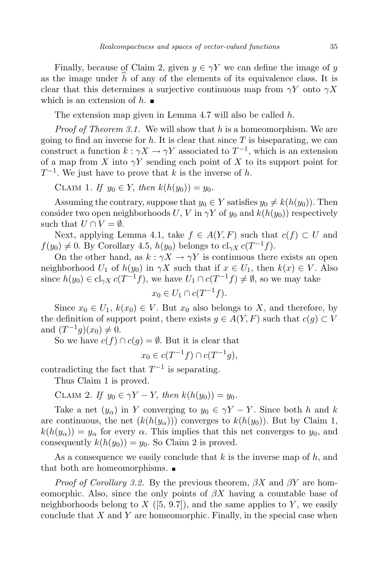Finally, because of Claim 2, given  $y \in \gamma Y$  we can define the image of *y* as the image under  $h$  of any of the elements of its equivalence class. It is clear that this determines a surjective continuous map from  $\gamma Y$  onto  $\gamma X$ which is an extension of *h*.

The extension map given in Lemma 4.7 will also be called *h*.

*Proof of Theorem 3.1.* We will show that *h* is a homeomorphism. We are going to find an inverse for  $h$ . It is clear that since  $T$  is biseparating, we can construct a function  $k : \gamma X \to \gamma Y$  associated to  $T^{-1}$ , which is an extension of a map from *X* into *γY* sending each point of *X* to its support point for *T −*1 . We just have to prove that *k* is the inverse of *h*.

 $CLAIM\ 1.$  *If*  $y_0 \in Y$ , *then*  $k(h(y_0)) = y_0$ .

Assuming the contrary, suppose that  $y_0 \in Y$  satisfies  $y_0 \neq k(h(y_0))$ . Then consider two open neighborhoods *U*, *V* in  $\gamma Y$  of  $y_0$  and  $k(h(y_0))$  respectively such that  $U \cap V = \emptyset$ .

Next, applying Lemma 4.1, take  $f \in A(Y, F)$  such that  $c(f) \subset U$  and  $f(y_0) \neq 0$ . By Corollary 4.5, *h*(*y*<sub>0</sub>) belongs to cl<sub>γ*X*</sub> *c*(*T*<sup>-1</sup>*f*).

On the other hand, as  $k : \gamma X \to \gamma Y$  is continuous there exists an open neighborhood *U*<sub>1</sub> of  $h(y_0)$  in  $\gamma X$  such that if  $x \in U_1$ , then  $k(x) \in V$ . Also since  $h(y_0) \in \text{cl}_{\gamma X} c(T^{-1}f)$ , we have  $U_1 \cap c(T^{-1}f) \neq \emptyset$ , so we may take

$$
x_0 \in U_1 \cap c(T^{-1}f).
$$

Since  $x_0 \in U_1$ ,  $k(x_0) \in V$ . But  $x_0$  also belongs to X, and therefore, by the definition of support point, there exists  $q \in A(Y, F)$  such that  $c(q) \subset V$ and  $(T^{-1}g)(x_0) \neq 0$ .

So we have  $c(f) \cap c(g) = \emptyset$ . But it is clear that

$$
x_0 \in c(T^{-1}f) \cap c(T^{-1}g),
$$

contradicting the fact that  $T^{-1}$  is separating.

Thus Claim 1 is proved.

CLAIM 2. *If*  $y_0 \in \gamma Y - Y$ , *then*  $k(h(y_0)) = y_0$ .

Take a net  $(y_\alpha)$  in *Y* converging to  $y_0 \in \gamma Y - Y$ . Since both *h* and *k* are continuous, the net  $(k(h(y_\alpha)))$  converges to  $k(h(y_0))$ . But by Claim 1,  $k(h(y_\alpha)) = y_\alpha$  for every  $\alpha$ . This implies that this net converges to  $y_0$ , and consequently  $k(h(y_0)) = y_0$ . So Claim 2 is proved.

As a consequence we easily conclude that *k* is the inverse map of *h*, and that both are homeomorphisms.

*Proof of Corollary 3.2.* By the previous theorem, *βX* and *βY* are homeomorphic. Also, since the only points of *βX* having a countable base of neighborhoods belong to  $X$  ([5, 9.7]), and the same applies to  $Y$ , we easily conclude that *X* and *Y* are homeomorphic. Finally, in the special case when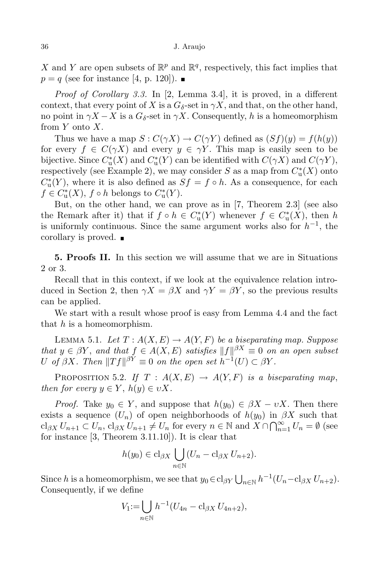X and Y are open subsets of  $\mathbb{R}^p$  and  $\mathbb{R}^q$ , respectively, this fact implies that  $p = q$  (see for instance [4, p. 120]).

*Proof of Corollary 3.3.* In [2, Lemma 3.4], it is proved, in a different context, that every point of *X* is a  $G_{\delta}$ -set in  $\gamma X$ , and that, on the other hand, no point in  $\gamma X - X$  is a  $G_{\delta}$ -set in  $\gamma X$ . Consequently, *h* is a homeomorphism from *Y* onto *X*.

Thus we have a map  $S: C(\gamma X) \to C(\gamma Y)$  defined as  $(Sf)(y) = f(h(y))$ for every  $f \in C(\gamma X)$  and every  $y \in \gamma Y$ . This map is easily seen to be bijective. Since  $C^*_{\mathrm{u}}(X)$  and  $C^*_{\mathrm{u}}(Y)$  can be identified with  $C(\gamma X)$  and  $C(\gamma Y)$ , respectively (see Example 2), we may consider  $S$  as a map from  $C^*_{\mathrm{u}}(X)$  onto  $C^*_{\mathfrak{u}}(Y)$ , where it is also defined as  $Sf = f \circ h$ . As a consequence, for each  $f \in C^*_{\mathrm{u}}(X)$ ,  $f \circ h$  belongs to  $C^*_{\mathrm{u}}(Y)$ .

But, on the other hand, we can prove as in [7, Theorem 2.3] (see also the Remark after it) that if  $f \circ h \in C^*_u(Y)$  whenever  $f \in C^*_u(X)$ , then *h* is uniformly continuous. Since the same argument works also for *h −*1 , the corollary is proved.

**5. Proofs II.** In this section we will assume that we are in Situations 2 or 3.

Recall that in this context, if we look at the equivalence relation introduced in Section 2, then  $\gamma X = \beta X$  and  $\gamma Y = \beta Y$ , so the previous results can be applied.

We start with a result whose proof is easy from Lemma 4.4 and the fact that *h* is a homeomorphism.

LEMMA 5.1. *Let*  $T: A(X, E) \to A(Y, F)$  *be a biseparating map. Suppose that*  $y \in \beta Y$ , and that  $f \in A(X, E)$  satisfies  $||f||^{\beta X} \equiv 0$  on an open subset *U of*  $\beta X$ *. Then*  $||Tf||^{\beta Y} \equiv 0$  *on the open set*  $h^{-1}(U) \subset \beta Y$ *.* 

PROPOSITION 5.2. *If*  $T : A(X, E) \rightarrow A(Y, F)$  *is a biseparating map*, *then for every*  $y \in Y$ ,  $h(y) \in vX$ .

*Proof.* Take  $y_0 \in Y$ , and suppose that  $h(y_0) \in \beta X - \nu X$ . Then there exists a sequence  $(U_n)$  of open neighborhoods of  $h(y_0)$  in  $\beta X$  such that  $\operatorname{cl}_{\beta X} U_{n+1} \subset U_n$ ,  $\operatorname{cl}_{\beta X} U_{n+1} \neq U_n$  for every  $n \in \mathbb{N}$  and  $X \cap \bigcap_{n=1}^{\infty} U_n = \emptyset$  (see for instance [3, Theorem 3.11.10]). It is clear that

$$
h(y_0) \in \mathrm{cl}_{\beta X} \bigcup_{n \in \mathbb{N}} (U_n - \mathrm{cl}_{\beta X} U_{n+2}).
$$

Since *h* is a homeomorphism, we see that  $y_0 \in \text{cl}_{\beta Y} \bigcup_{n \in \mathbb{N}} h^{-1}(U_n - \text{cl}_{\beta X} U_{n+2}).$ Consequently, if we define

$$
V_1\!:=\!\bigcup_{n\in\mathbb{N}}h^{-1}(U_{4n}-\mathrm{cl}_{\beta X}\,U_{4n+2}),
$$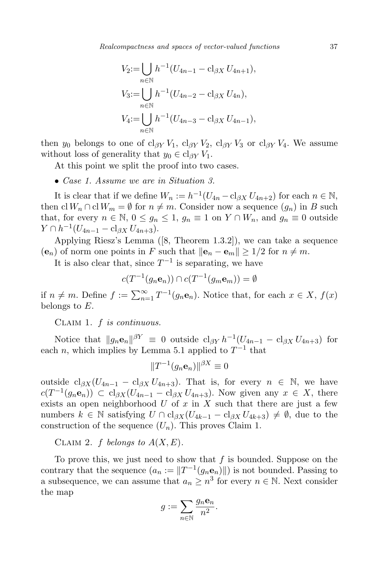*Realcompactness and spaces of vector-valued functions* 37

$$
V_2 := \bigcup_{n \in \mathbb{N}} h^{-1} (U_{4n-1} - \text{cl}_{\beta X} U_{4n+1}),
$$
  
\n
$$
V_3 := \bigcup_{n \in \mathbb{N}} h^{-1} (U_{4n-2} - \text{cl}_{\beta X} U_{4n}),
$$
  
\n
$$
V_4 := \bigcup_{n \in \mathbb{N}} h^{-1} (U_{4n-3} - \text{cl}_{\beta X} U_{4n-1}),
$$

then *y*<sup>0</sup> belongs to one of cl<sub>*βY*</sub>  $V_1$ , cl<sub>*βY*</sub>  $V_2$ , cl<sub>*βY*</sub>  $V_3$  or cl<sub>*βY*</sub>  $V_4$ . We assume without loss of generality that  $y_0 \in \text{cl}_{\beta Y} V_1$ .

At this point we split the proof into two cases.

*• Case 1. Assume we are in Situation 3.*

It is clear that if we define  $W_n := h^{-1}(U_{4n} - \mathrm{cl}_{\beta X} U_{4n+2})$  for each  $n \in \mathbb{N}$ , then  $\text{cl } W_n \cap \text{cl } W_m = \emptyset$  for  $n \neq m$ . Consider now a sequence  $(g_n)$  in *B* such that, for every  $n \in \mathbb{N}$ ,  $0 \le g_n \le 1$ ,  $g_n \equiv 1$  on  $Y \cap W_n$ , and  $g_n \equiv 0$  outside *Y* ∩  $h^{-1}(U_{4n-1} - \text{cl}_{\beta X} U_{4n+3}).$ 

Applying Riesz's Lemma ([8, Theorem 1.3.2]), we can take a sequence  $(\mathbf{e}_n)$  of norm one points in *F* such that  $\|\mathbf{e}_n - \mathbf{e}_m\| \geq 1/2$  for  $n \neq m$ .

It is also clear that, since  $T^{-1}$  is separating, we have

$$
c(T^{-1}(g_n\mathbf{e}_n)) \cap c(T^{-1}(g_m\mathbf{e}_m)) = \emptyset
$$

if  $n \neq m$ . Define  $f := \sum_{n=1}^{\infty} T^{-1}(g_n \mathbf{e}_n)$ . Notice that, for each  $x \in X$ ,  $f(x)$ belongs to *E*.

Claim 1. *f is continuous.*

Notice that  $||g_n\mathbf{e}_n||^{\beta Y} \equiv 0$  outside  $c|_{\beta Y} h^{-1}(U_{4n-1} - c|_{\beta X} U_{4n+3})$  for each *n*, which implies by Lemma 5.1 applied to  $T^{-1}$  that

$$
||T^{-1}(g_n\mathbf{e}_n)||^{\beta X}\equiv 0
$$

outside  $cl_{\beta X}(U_{4n-1} - cl_{\beta X} U_{4n+3})$ . That is, for every  $n \in \mathbb{N}$ , we have *c*( $T^{-1}(g_n\mathbf{e}_n)$ ) ⊂ cl<sub>*βX*</sub>( $U_{4n-1}$  − cl<sub>*βX*</sub>  $U_{4n+3}$ ). Now given any  $x \in X$ , there exists an open neighborhood *U* of *x* in *X* such that there are just a few numbers  $k \in \mathbb{N}$  satisfying  $U \cap \text{cl}_{\beta X}(U_{4k-1} - \text{cl}_{\beta X} U_{4k+3}) \neq \emptyset$ , due to the construction of the sequence  $(U_n)$ . This proves Claim 1.

CLAIM 2.  $f$  *belongs* to  $A(X, E)$ .

To prove this, we just need to show that *f* is bounded. Suppose on the contrary that the sequence  $(a_n := ||T^{-1}(g_n\mathbf{e}_n)||)$  is not bounded. Passing to a subsequence, we can assume that  $a_n \geq n^3$  for every  $n \in \mathbb{N}$ . Next consider the map

$$
g:=\sum_{n\in\mathbb{N}}\frac{g_n\mathbf{e}_n}{n^2}.
$$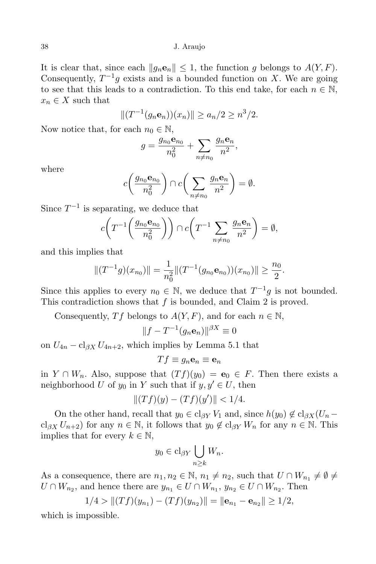It is clear that, since each  $||g_n\mathbf{e}_n|| \leq 1$ , the function *g* belongs to  $A(Y, F)$ . Consequently,  $T^{-1}g$  exists and is a bounded function on *X*. We are going to see that this leads to a contradiction. To this end take, for each  $n \in \mathbb{N}$ ,  $x_n \in X$  such that

$$
|| (T^{-1}(g_n \mathbf{e}_n))(x_n)|| \ge a_n/2 \ge n^3/2.
$$

Now notice that, for each  $n_0 \in \mathbb{N}$ ,

$$
g = \frac{g_{n_0} \mathbf{e}_{n_0}}{n_0^2} + \sum_{n \neq n_0} \frac{g_n \mathbf{e}_n}{n^2},
$$

where

$$
c\left(\frac{g_{n_0}\mathbf{e}_{n_0}}{n_0^2}\right) \cap c\left(\sum_{n \neq n_0} \frac{g_n\mathbf{e}_n}{n^2}\right) = \emptyset.
$$

Since  $T^{-1}$  is separating, we deduce that

$$
c\bigg(T^{-1}\bigg(\frac{g_{n_0}\mathbf{e}_{n_0}}{n_0^2}\bigg)\bigg) \cap c\bigg(T^{-1}\sum_{n\neq n_0}\frac{g_n\mathbf{e}_n}{n^2}\bigg) = \emptyset,
$$

and this implies that

$$
||(T^{-1}g)(x_{n_0})|| = \frac{1}{n_0^2}||(T^{-1}(g_{n_0}e_{n_0}))(x_{n_0})|| \ge \frac{n_0}{2}.
$$

Since this applies to every  $n_0 \in \mathbb{N}$ , we deduce that  $T^{-1}g$  is not bounded. This contradiction shows that *f* is bounded, and Claim 2 is proved.

Consequently, *Tf* belongs to  $A(Y, F)$ , and for each  $n \in \mathbb{N}$ ,

$$
||f - T^{-1}(g_n \mathbf{e}_n)||^{\beta X} \equiv 0
$$

on  $U_{4n} - \mathrm{cl}_{\beta X} U_{4n+2}$ , which implies by Lemma 5.1 that

$$
Tf\equiv g_n\mathbf{e}_n\equiv\mathbf{e}_n
$$

in *Y* ∩ *W<sub>n</sub>*. Also, suppose that  $(Tf)(y_0) = e_0 \text{ } \in F$ . Then there exists a neighborhood *U* of  $y_0$  in *Y* such that if  $y, y' \in U$ , then

$$
||(Tf)(y) - (Tf)(y')|| < 1/4.
$$

On the other hand, recall that  $y_0 \in \text{cl}_{\beta Y} V_1$  and, since  $h(y_0) \notin \text{cl}_{\beta X} (U_n$  $cl_{\beta X} U_{n+2}$ ) for any  $n \in \mathbb{N}$ , it follows that  $y_0 \notin cl_{\beta Y} W_n$  for any  $n \in \mathbb{N}$ . This implies that for every  $k \in \mathbb{N}$ ,

$$
y_0 \in \text{cl}_{\beta Y} \bigcup_{n \geq k} W_n.
$$

As a consequence, there are  $n_1, n_2 \in \mathbb{N}$ ,  $n_1 \neq n_2$ , such that  $U \cap W_{n_1} \neq \emptyset \neq$ *U* ∩ *W*<sub>*n*2</sub></sub>, and hence there are  $y_{n_1} \in U \cap W_{n_1}, y_{n_2} \in U \cap W_{n_2}$ . Then

$$
1/4 > ||(Tf)(y_{n_1}) - (Tf)(y_{n_2})|| = ||\mathbf{e}_{n_1} - \mathbf{e}_{n_2}|| \ge 1/2,
$$

which is impossible.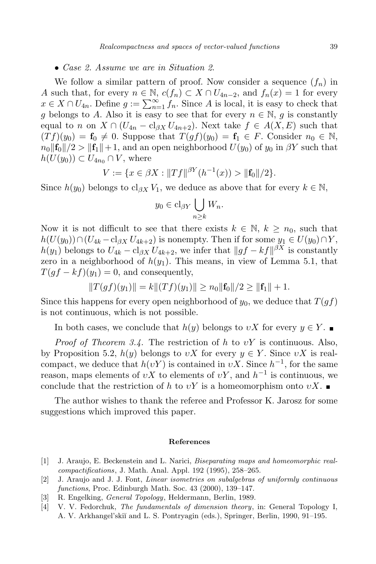### *• Case 2. Assume we are in Situation 2*.

We follow a similar pattern of proof. Now consider a sequence  $(f_n)$  in *A* such that, for every  $n \in \mathbb{N}$ ,  $c(f_n) \subset X \cap U_{4n-2}$ , and  $f_n(x) = 1$  for every  $x \in X \cap U_{4n}$ . Define  $g := \sum_{n=1}^{\infty} f_n$ . Since *A* is local, it is easy to check that *g* belongs to *A*. Also it is easy to see that for every  $n \in \mathbb{N}$ , *g* is constantly equal to *n* on  $X \cap (U_{4n} - \text{cl}_{\beta X} U_{4n+2})$ . Next take  $f \in A(X, E)$  such that  $(Tf)(y_0) = \mathbf{f}_0 \neq 0$ . Suppose that  $T(gf)(y_0) = \mathbf{f}_1 \in F$ . Consider  $n_0 \in \mathbb{N}$ ,  $n_0$  $||f_0||/2$   $>$   $||f_1|| + 1$ , and an open neighborhood  $U(y_0)$  of  $y_0$  in  $\beta Y$  such that  $h(U(y_0)) \subset U_{4n_0} \cap V$ , where

$$
V := \{ x \in \beta X : ||Tf||^{\beta Y} (h^{-1}(x)) > ||\mathbf{f}_0||/2 \}.
$$

Since  $h(y_0)$  belongs to cl<sub>*βX*</sub>  $V_1$ , we deduce as above that for every  $k \in \mathbb{N}$ ,

$$
y_0 \in \text{cl}_{\beta Y} \bigcup_{n \geq k} W_n.
$$

Now it is not difficult to see that there exists  $k \in \mathbb{N}$ ,  $k \geq n_0$ , such that *h*(*U*(*y*<sub>0</sub>))∩(*U*<sub>4*k*</sub> − cl<sub>*βX*</sub>  $U_{4k+2}$ ) is nonempty. Then if for some  $y_1 \in U(y_0) \cap Y$ , *h*(*y*<sub>1</sub>) belongs to  $U_{4k} - \mathrm{cl}_{\beta X} U_{4k+2}$ , we infer that  $||gf - kf||^{\beta X}$  is constantly zero in a neighborhood of  $h(y_1)$ . This means, in view of Lemma 5.1, that  $T(gf - kf)(y_1) = 0$ , and consequently,

$$
||T(gf)(y_1)|| = k||(Tf)(y_1)|| \ge n_0||f_0||/2 \ge ||f_1|| + 1.
$$

Since this happens for every open neighborhood of  $y_0$ , we deduce that  $T(qf)$ is not continuous, which is not possible.

In both cases, we conclude that  $h(y)$  belongs to *vX* for every  $y \in Y$ .

*Proof of Theorem 3.4.* The restriction of *h* to *υY* is continuous. Also, by Proposition 5.2,  $h(y)$  belongs to *vX* for every  $y \in Y$ . Since *vX* is realcompact, we deduce that  $h(\nu Y)$  is contained in  $\nu X$ . Since  $h^{-1}$ , for the same reason, maps elements of  $vX$  to elements of  $vY$ , and  $h^{-1}$  is continuous, we conclude that the restriction of *h* to  $vY$  is a homeomorphism onto  $vX$ .

The author wishes to thank the referee and Professor K. Jarosz for some suggestions which improved this paper.

### **References**

- [1] J. Araujo, E. Beckenstein and L. Narici, *Biseparating maps and homeomorphic realcompactifications*, J. Math. Anal. Appl. 192 (1995), 258–265.
- [2] J. Araujo and J. J. Font, *Linear isometries on subalgebras of uniformly continuous functions*, Proc. Edinburgh Math. Soc. 43 (2000), 139–147.
- [3] R. Engelking, *General Topology*, Heldermann, Berlin, 1989.
- [4] V. V. Fedorchuk, *The fundamentals of dimension theory*, in: General Topology I, A. V. Arkhangel'ski˘ı and L. S. Pontryagin (eds.), Springer, Berlin, 1990, 91–195.